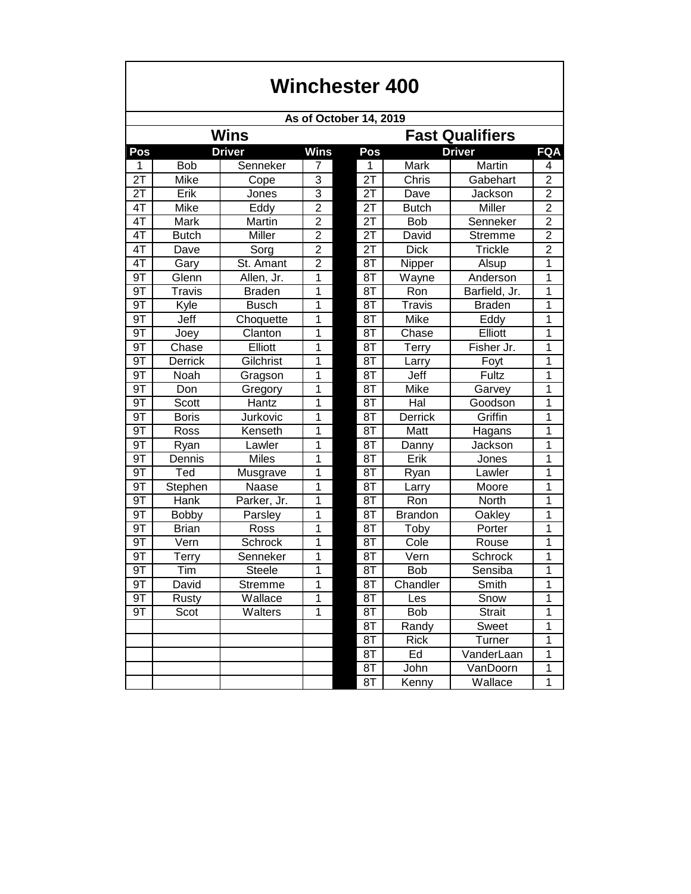| Winchester 400         |              |               |                |                        |                |                |                |  |  |  |  |  |  |
|------------------------|--------------|---------------|----------------|------------------------|----------------|----------------|----------------|--|--|--|--|--|--|
| As of October 14, 2019 |              |               |                |                        |                |                |                |  |  |  |  |  |  |
|                        |              | <b>Wins</b>   |                | <b>Fast Qualifiers</b> |                |                |                |  |  |  |  |  |  |
| Pos                    |              | <b>Driver</b> | <b>Wins</b>    | Pos                    |                | <b>Driver</b>  | <b>FQA</b>     |  |  |  |  |  |  |
| 1                      | <b>Bob</b>   | Senneker      | 7              | 1                      | Mark           | Martin         | 4              |  |  |  |  |  |  |
| 2T                     | Mike         | Cope          | 3              | $\overline{21}$        | Chris          | Gabehart       | $\overline{2}$ |  |  |  |  |  |  |
| 2T                     | Erik         | Jones         | $\overline{3}$ | 2T                     | Dave           | Jackson        | $\overline{2}$ |  |  |  |  |  |  |
| 4T                     | Mike         | Eddy          | $\overline{2}$ | 2T                     | <b>Butch</b>   | Miller         | $\overline{c}$ |  |  |  |  |  |  |
| 4T                     | Mark         | Martin        | $\overline{2}$ | 2T                     | <b>Bob</b>     | Senneker       | $\overline{2}$ |  |  |  |  |  |  |
| 4T                     | <b>Butch</b> | Miller        | $\overline{2}$ | 2T                     | David          | Stremme        | $\overline{c}$ |  |  |  |  |  |  |
| 4T                     | Dave         | Sorg          | $\overline{2}$ | 2T                     | <b>Dick</b>    | <b>Trickle</b> | $\overline{2}$ |  |  |  |  |  |  |
| 4T                     | Gary         | St. Amant     | $\overline{2}$ | 8T                     | Nipper         | Alsup          | 1              |  |  |  |  |  |  |
| 9T                     | Glenn        | Allen, Jr.    | 1              | 8T                     | Wayne          | Anderson       | 1              |  |  |  |  |  |  |
| 9T                     | Travis       | <b>Braden</b> | 1              | 8T                     | Ron            | Barfield, Jr.  | 1              |  |  |  |  |  |  |
| 9T                     | Kyle         | <b>Busch</b>  | 1              | 8T                     | Travis         | <b>Braden</b>  | 1              |  |  |  |  |  |  |
| 9T                     | Jeff         | Choquette     | 1              | 8T                     | Mike           | Eddy           | 1              |  |  |  |  |  |  |
| 9T                     | Joey         | Clanton       | 1              | 8T                     | Chase          | Elliott        | 1              |  |  |  |  |  |  |
| 9T                     | Chase        | Elliott       | 1              | 8T                     | <b>Terry</b>   | Fisher Jr.     | 1              |  |  |  |  |  |  |
| 9T                     | Derrick      | Gilchrist     | 1              | 8T                     | Larry          | Foyt           | 1              |  |  |  |  |  |  |
| 9T                     | Noah         | Gragson       | $\overline{1}$ | 8T                     | Jeff           | Fultz          | 1              |  |  |  |  |  |  |
| 9T                     | Don          | Gregory       | 1              | 8T                     | Mike           | Garvey         | 1              |  |  |  |  |  |  |
| 9T                     | Scott        | Hantz         | 1              | 8T                     | Hal            | Goodson        | 1              |  |  |  |  |  |  |
| 9T                     | <b>Boris</b> | Jurkovic      | 1              | 8T                     | Derrick        | Griffin        | 1              |  |  |  |  |  |  |
| 9T                     | Ross         | Kenseth       | 1              | 8T                     | Matt           | Hagans         | 1              |  |  |  |  |  |  |
| 9T                     | Ryan         | Lawler        | 1              | 8T                     | Danny          | Jackson        | 1              |  |  |  |  |  |  |
| 9T                     | Dennis       | <b>Miles</b>  | 1              | 8T                     | Erik           | Jones          | 1              |  |  |  |  |  |  |
| 9T                     | Ted          | Musgrave      | 1              | 8T                     | Ryan           | Lawler         | $\mathbf 1$    |  |  |  |  |  |  |
| 9T                     | Stephen      | Naase         | 1              | 8T                     | Larry          | Moore          | 1              |  |  |  |  |  |  |
| 9T                     | Hank         | Parker, Jr.   | 1              | 8T                     | Ron            | North          | 1              |  |  |  |  |  |  |
| 9T                     | Bobby        | Parsley       | 1              | 8T                     | <b>Brandon</b> | Oakley         | 1              |  |  |  |  |  |  |
| 9T                     | <b>Brian</b> | Ross          | 1              | 8T                     | Toby           | Porter         | 1              |  |  |  |  |  |  |
| 9T                     | Vern         | Schrock       | 1              | 8T                     | Cole           | Rouse          | 1              |  |  |  |  |  |  |
| 9T                     | Terry        | Senneker      | 1              | 8T                     | Vern           | Schrock        | 1              |  |  |  |  |  |  |
| 9T                     | Tim          | Steele        | 1              | $\overline{\text{8T}}$ | Bob            | Sensiba        | 1              |  |  |  |  |  |  |
| 9T                     | David        | Stremme       | $\mathbf{1}$   | 8T                     | Chandler       | Smith          | 1              |  |  |  |  |  |  |
| 9T                     | Rusty        | Wallace       | 1              | 8T                     | Les            | Snow           | 1              |  |  |  |  |  |  |
| 9T                     | Scot         | Walters       | $\mathbf 1$    | 8T                     | <b>Bob</b>     | Strait         | 1              |  |  |  |  |  |  |
|                        |              |               |                | 8T                     | Randy          | Sweet          | 1              |  |  |  |  |  |  |
|                        |              |               |                | 8T                     | <b>Rick</b>    | Turner         | 1              |  |  |  |  |  |  |
|                        |              |               |                | 8T                     | Ed             | VanderLaan     | 1              |  |  |  |  |  |  |
|                        |              |               |                | 8T                     | John           | VanDoorn       | 1              |  |  |  |  |  |  |
|                        |              |               |                | 8T                     | Kenny          | Wallace        | 1              |  |  |  |  |  |  |